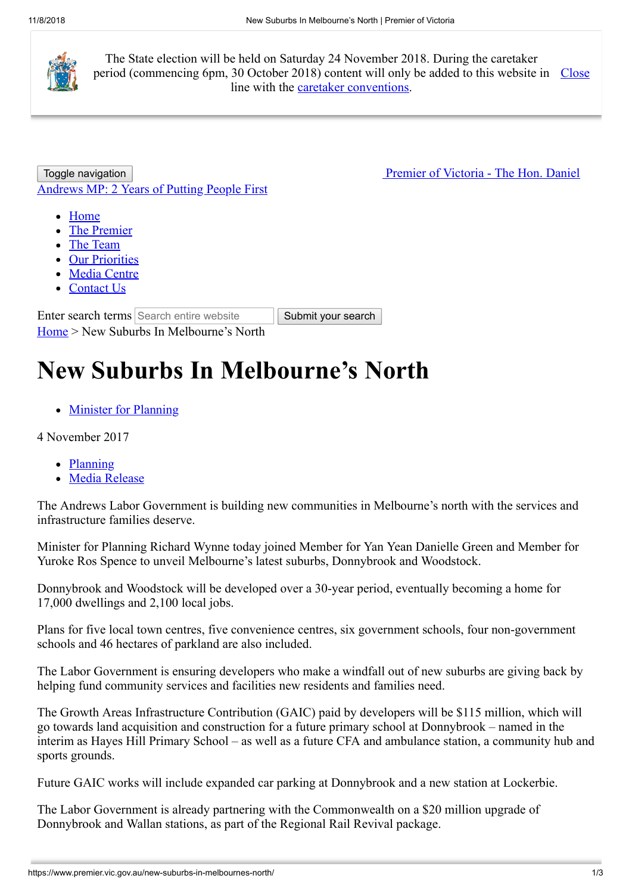

The State election will be held on Saturday 24 November 2018. During the caretaker period (commencing 6pm, 30 October 2018) content will only be added to this website in Close line with the [caretaker conventions](https://www.dpc.vic.gov.au/index.php/policies/caretaker-conventions-2018).

Toggle navigation **Premier of Victoria - The Hon. Daniel** [Andrews MP: 2 Years of Putting People First](https://www.premier.vic.gov.au/)

- [Home](https://www.premier.vic.gov.au/)
- [The Premier](https://www.premier.vic.gov.au/the-premier/)
- [The Team](https://www.premier.vic.gov.au/the-team/)
- [Our Priorities](https://www.premier.vic.gov.au/our-priorities/)
- [Media Centre](https://www.premier.vic.gov.au/media-centre/)
- [Contact Us](https://www.premier.vic.gov.au/contact-us/)

Enter search terms Search entire website Submit your search [Home](https://www.premier.vic.gov.au/) > New Suburbs In Melbourne's North

# **New Suburbs In Melbourne's North**

• [Minister for Planning](https://www.premier.vic.gov.au/category/ministers/minister-for-planning/)

4 November 2017

- [Planning](https://www.premier.vic.gov.au/tag/planning/)
- [Media Release](https://www.premier.vic.gov.au/category/ministers/media-release/)

The Andrews Labor Government is building new communities in Melbourne's north with the services and infrastructure families deserve.

Minister for Planning Richard Wynne today joined Member for Yan Yean Danielle Green and Member for Yuroke Ros Spence to unveil Melbourne's latest suburbs, Donnybrook and Woodstock.

Donnybrook and Woodstock will be developed over a 30-year period, eventually becoming a home for 17,000 dwellings and 2,100 local jobs.

Plans for five local town centres, five convenience centres, six government schools, four non-government schools and 46 hectares of parkland are also included.

The Labor Government is ensuring developers who make a windfall out of new suburbs are giving back by helping fund community services and facilities new residents and families need.

The Growth Areas Infrastructure Contribution (GAIC) paid by developers will be \$115 million, which will go towards land acquisition and construction for a future primary school at Donnybrook – named in the interim as Hayes Hill Primary School – as well as a future CFA and ambulance station, a community hub and sports grounds.

Future GAIC works will include expanded car parking at Donnybrook and a new station at Lockerbie.

The Labor Government is already partnering with the Commonwealth on a \$20 million upgrade of Donnybrook and Wallan stations, as part of the Regional Rail Revival package.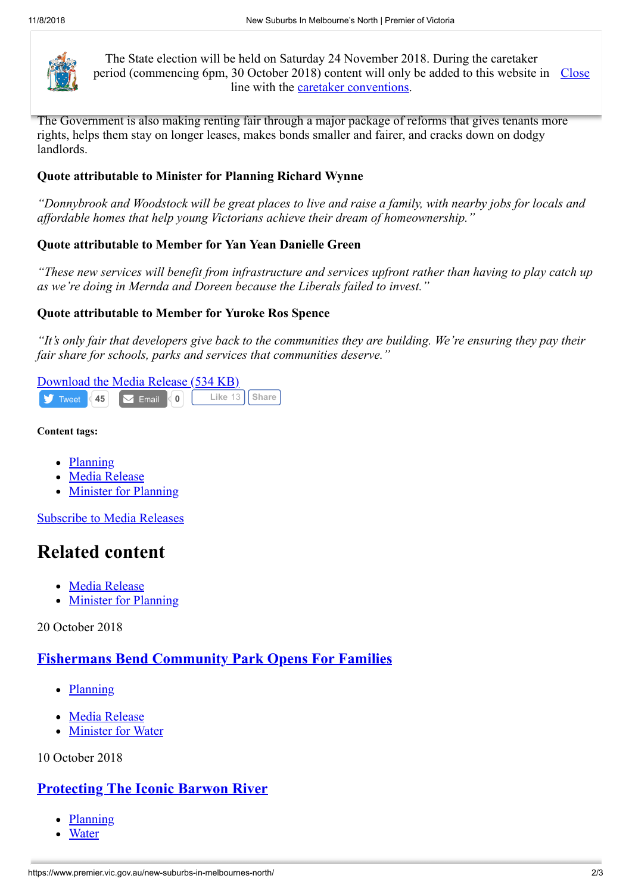

The State election will be held on Saturday 24 November 2018. During the caretaker period (commencing 6pm, 30 October 2018) content will only be added to this website in  $\frac{\text{Close}}{\text{Close}}$  $\lim_{n \to \infty}$  line with the <u>caretaker conventions</u>.

The Government is also making renting fair through a major package of reforms that gives tenants more rights, helps them stay on longer leases, makes bonds smaller and fairer, and cracks down on dodgy landlords.

# **Quote attributable to Minister for Planning Richard Wynne**

*"Donnybrook and Woodstock will be great places to live and raise a family, with nearby jobs for locals and affordable homes that help young Victorians achieve their dream of homeownership."*

# **Quote attributable to Member for Yan Yean Danielle Green**

*"These new services will benefit from infrastructure and services upfront rather than having to play catch up as we're doing in Mernda and Doreen because the Liberals failed to invest."*

# **Quote attributable to Member for Yuroke Ros Spence**

*"It's only fair that developers give back to the communities they are building. We're ensuring they pay their fair share for schools, parks and services that communities deserve."*

#### [Download the Media Release \(534 KB\)](https://www.premier.vic.gov.au/wp-content/uploads/2017/11/171103-New-Suburbs-In-Melbourne%E2%80%99s-North.pdf) **45 1 Like** 13 **[Share](https://www.facebook.com/sharer/sharer.php?u=https%3A%2F%2Fwww.premier.vic.gov.au%2Fnew-suburbs-in-melbournes-north%2F&display=popup&ref=plugin&src=like&kid_directed_site=0&app_id=113912915637530)**  $\blacktriangleright$  Tweet

### **Content tags:**

- [Planning](https://www.premier.vic.gov.au/tag/planning/)  $\bullet$
- [Media Release](https://www.premier.vic.gov.au/category/media-release/)
- [Minister for Planning](https://www.premier.vic.gov.au/category/ministers/minister-for-planning/)

[Subscribe to Media Releases](https://www.premier.vic.gov.au/subscribe-to-media-releases)

# **Related content**

- [Media Release](https://www.premier.vic.gov.au/category/media-release/)
- [Minister for Planning](https://www.premier.vic.gov.au/category/ministers/minister-for-planning/)

20 October 2018

# **Fishermans Bend [Community](https://www.premier.vic.gov.au/fishermans-bend-community-park-opens-for-families/) Park Opens For Families**

- [Planning](https://www.premier.vic.gov.au/tag/planning/)
- [Media Release](https://www.premier.vic.gov.au/category/media-release/)
- [Minister for Water](https://www.premier.vic.gov.au/category/ministers/minister-for-water/)

10 October 2018

# **[Protecting](https://www.premier.vic.gov.au/protecting-the-iconic-barwon-river/) The Iconic Barwon River**

- **[Planning](https://www.premier.vic.gov.au/tag/planning/)**
- **[Water](https://www.premier.vic.gov.au/tag/water/)**